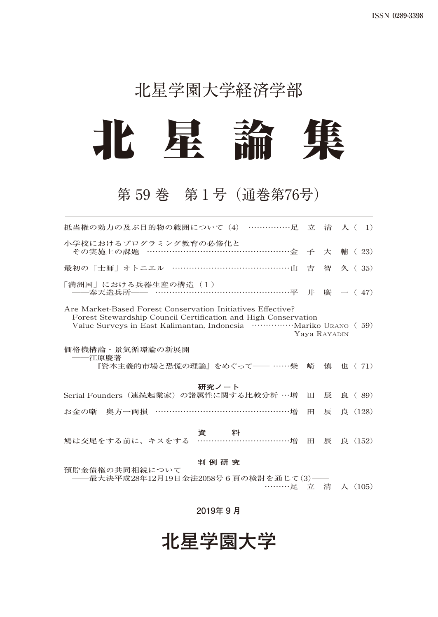## 北星学園大学経済学部



## 第 59 巻 第1号(通巻第76号)

| 抵当権の効力の及ぶ目的物の範囲について(4) ……………足 立 清 人( 1)                                                                                                       |           |   |             |  |  |  |  |  |
|-----------------------------------------------------------------------------------------------------------------------------------------------|-----------|---|-------------|--|--|--|--|--|
| 小学校におけるプログラミング教育の必修化と<br>その実施上の課題 ……………………………………………金 子 大                                                                                      |           |   | 輔 $(23)$    |  |  |  |  |  |
| 最初の「士師」オトニエル ……………………………………山 吉                                                                                                                |           |   | 智 久 (35)    |  |  |  |  |  |
| 「満洲国」における兵器生産の構造(1)<br>——奉天造兵所—— ……………………………………………平 井 廣 一( 47)                                                                                |           |   |             |  |  |  |  |  |
| Are Market-Based Forest Conservation Initiatives Effective?<br>Forest Stewardship Council Certification and High Conservation<br>Yaya Rayadin |           |   |             |  |  |  |  |  |
| 価格機構論・景気循環論の新展開<br>――江原慶著<br>『資本主義的市場と恐慌の理論』をめぐって―― ……柴                                                                                       | 崎         |   | 慎 也 (71)    |  |  |  |  |  |
| 研究ノート<br>Serial Founders(連続起業家)の諸属性に関する比較分析 …増                                                                                                | <b>HH</b> | 辰 | 良 (89)      |  |  |  |  |  |
| お金の噺 奥方一両損 …………………………………………増                                                                                                                  | H I       | 辰 | 良 (128)     |  |  |  |  |  |
| <b>資 - 料</b><br>鳩は交尾をする前に、キスをする ……………………………増                                                                                                  |           |   | 田 辰 良 (152) |  |  |  |  |  |
| 判 例 研 究<br>預貯金債権の共同相続について<br>−最大決平成28年12月19日金法2058号6頁の検討を通じて(3)──                                                                             |           |   |             |  |  |  |  |  |
| ………足 立 清 人 (105)                                                                                                                              |           |   |             |  |  |  |  |  |

**2019年 9 月**

**北星学園大学**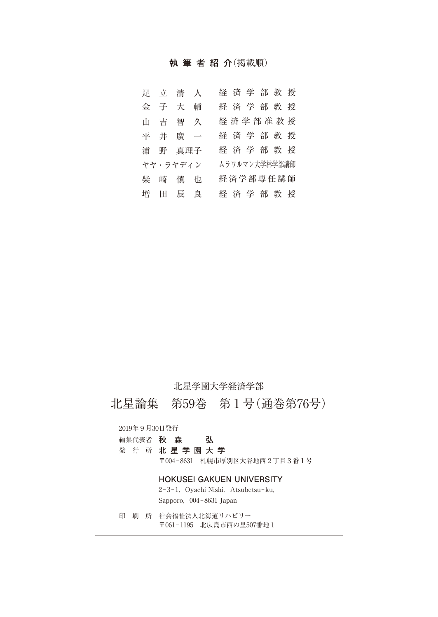#### **執筆者紹介**(掲載順)

|  | 足立清人     | 経済学部教授        |
|--|----------|---------------|
|  | 金子大輔     | 経済学部教授        |
|  | 山吉智久     | 経済学部准教授       |
|  | 平井廣一     | 経済学部教授        |
|  | 浦 野 真理子  | 経済学部教授        |
|  | ヤヤ・ラヤディン | ムラワルマン大学林学部講師 |
|  | 柴崎慎也     | 経済学部専任講師      |
|  | 増 田 辰 良  | 経済学部教授        |

#### 北星学園大学経済学部

北星論集 第59巻 第1号(通巻第76号)

#### 2019年9月30日発行

発 行 所 **北星学園大学**

〒004−8631 札幌市厚別区大谷地西2丁目3番1号

#### **HOKUSEI GAKUEN UNIVERSITY**

2−3−1,Oyachi Nishi,Atsubetsu−ku, Sapporo,004−8631 Japan

印 刷 所 社会福祉法人北海道リハビリー 〒061−1195 北広島市西の里507番地1